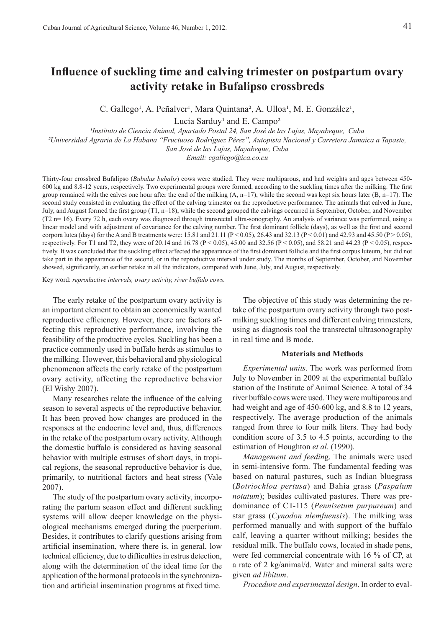# **Influence of suckling time and calving trimester on postpartum ovary activity retake in Bufalipso crossbreds**

C. Gallego<sup>1</sup>, A. Peñalver<sup>1</sup>, Mara Quintana<sup>2</sup>, A. Ulloa<sup>1</sup>, M. E. González<sup>1</sup>,

Lucía Sarduy<sup>1</sup> and E. Campo<sup>2</sup>

*¹Instituto de Ciencia Animal, Apartado Postal 24, San José de las Lajas, Mayabeque, Cuba*

*²Universidad Agraria de La Habana "Fructuoso Rodríguez Pérez", Autopista Nacional y Carretera Jamaica a Tapaste, San José de las Lajas, Mayabeque, Cuba* 

*Email: cgallego@ica.co.cu*

Thirty-four crossbred Bufalipso (*Bubalus bubalis*) cows were studied. They were multiparous, and had weights and ages between 450- 600 kg and 8.8-12 years, respectively. Two experimental groups were formed, according to the suckling times after the milking. The first group remained with the calves one hour after the end of the milking  $(A, n=17)$ , while the second was kept six hours later  $(B, n=17)$ . The second study consisted in evaluating the effect of the calving trimester on the reproductive performance. The animals that calved in June, July, and August formed the first group (T1, n=18), while the second grouped the calvings occurred in September, October, and November (T2 n= 16). Every 72 h, each ovary was diagnosed through transrectal ultra-sonography. An analysis of variance was performed, using a linear model and with adjustment of covariance for the calving number. The first dominant follicle (days), as well as the first and second corpora lutea (days) for the A and B treatments were: 15.81 and 21.11 ( $P < 0.05$ ), 26.43 and 32.13 ( $P < 0.01$ ) and 42.93 and 45.50 ( $P > 0.05$ ), respectively. For T1 and T2, they were of 20.14 and 16.78 (P < 0.05), 45.00 and 32.56 (P < 0.05), and 58.21 and 44.23 (P < 0.05), respectively. It was concluded that the suckling effect affected the appearance of the first dominant follicle and the first corpus luteum, but did not take part in the appearance of the second, or in the reproductive interval under study. The months of September, October, and November showed, significantly, an earlier retake in all the indicators, compared with June, July, and August, respectively.

Key word: *reproductive intervals, ovary activity, river buffalo cows.* 

The early retake of the postpartum ovary activity is an important element to obtain an economically wanted reproductive efficiency. However, there are factors affecting this reproductive performance, involving the feasibility of the productive cycles. Suckling has been a practice commonly used in buffalo herds as stimulus to the milking. However, this behavioral and physiological phenomenon affects the early retake of the postpartum ovary activity, affecting the reproductive behavior (El Wishy 2007).

Many researches relate the influence of the calving season to several aspects of the reproductive behavior. It has been proved how changes are produced in the responses at the endocrine level and, thus, differences in the retake of the postpartum ovary activity. Although the domestic buffalo is considered as having seasonal behavior with multiple estruses of short days, in tropical regions, the seasonal reproductive behavior is due, primarily, to nutritional factors and heat stress (Vale 2007).

The study of the postpartum ovary activity, incorporating the partum season effect and different suckling systems will allow deeper knowledge on the physiological mechanisms emerged during the puerperium. Besides, it contributes to clarify questions arising from artificial insemination, where there is, in general, low technical efficiency, due to difficulties in estrus detection, along with the determination of the ideal time for the application of the hormonal protocols in the synchronization and artificial insemination programs at fixed time.

The objective of this study was determining the retake of the postpartum ovary activity through two postmilking suckling times and different calving trimesters, using as diagnosis tool the transrectal ultrasonography in real time and B mode.

### **Materials and Methods**

*Experimental units*. The work was performed from July to November in 2009 at the experimental buffalo station of the Institute of Animal Science. A total of 34 river buffalo cows were used. They were multiparous and had weight and age of 450-600 kg, and 8.8 to 12 years, respectively. The average production of the animals ranged from three to four milk liters. They had body condition score of 3.5 to 4.5 points, according to the estimation of Houghton *et al*. (1990).

*Management and feedin*g. The animals were used in semi-intensive form. The fundamental feeding was based on natural pastures, such as Indian bluegrass (*Botriochloa pertusa*) and Bahia grass (*Paspalum notatum*); besides cultivated pastures. There was predominance of CT-115 (*Pennisetum purpureum*) and star grass (*Cynodon nlemfuensis*). The milking was performed manually and with support of the buffalo calf, leaving a quarter without milking; besides the residual milk. The buffalo cows, located in shade pens, were fed commercial concentrate with 16 % of CP, at a rate of 2 kg/animal/d. Water and mineral salts were given *ad libitum*.

*Procedure and experimental design*. In order to eval-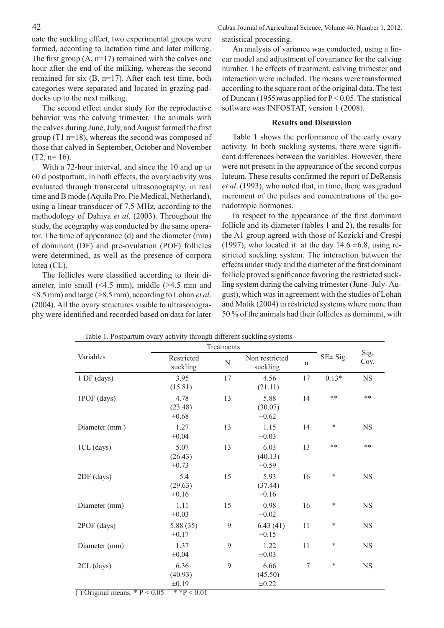uate the suckling effect, two experimental groups were formed, according to lactation time and later milking. The first group  $(A, n=17)$  remained with the calves one hour after the end of the milking, whereas the second remained for six (B, n=17). After each test time, both categories were separated and located in grazing paddocks up to the next milking.

The second effect under study for the reproductive behavior was the calving trimester. The animals with the calves during June, July, and August formed the first group (T1 n=18), whereas the second was composed of those that calved in September, October and November  $(T2, n=16)$ .

With a 72-hour interval, and since the 10 and up to 60 d postpartum, in both effects, the ovary activity was evaluated through transrectal ultrasonography, in real time and B mode (Aquila Pro, Pie Medical, Netherland), using a linear transducer of 7.5 MHz, according to the methodology of Dahiya *et al*. (2003). Throughout the study, the ecography was conducted by the same operator. The time of appearance (d) and the diameter (mm) of dominant (DF) and pre-ovulation (POF) follicles were determined, as well as the presence of corpora lutea (CL).

The follicles were classified according to their diameter, into small (<4.5 mm), middle (>4.5 mm and <8.5 mm) and large (>8.5 mm), according to Lohan *et al*. (2004). All the ovary structures visible to ultrasonography were identified and recorded based on data for later statistical processing.

An analysis of variance was conducted, using a linear model and adjustment of covariance for the calving number. The effects of treatment, calving trimester and interaction were included. The means were transformed according to the square root of the original data. The test of Duncan (1955)was applied for  $P < 0.05$ . The statistical software was INFOSTAT, version 1 (2008).

## **Results and Discussion**

Table 1 shows the performance of the early ovary activity. In both suckling systems, there were significant differences between the variables. However, there were not present in the appearance of the second corpus luteum. These results confirmed the report of DeRensis *et al*. (1993), who noted that, in time, there was gradual increment of the pulses and concentrations of the gonadotropic hormones.

In respect to the appearance of the first dominant follicle and its diameter (tables 1 and 2), the results for the A1 group agreed with those of Kozicki and Crespi (1997), who located it at the day  $14.6 \pm 6.8$ , using restricted suckling system. The interaction between the effects under study and the diameter of the first dominant follicle proved significance favoring the restricted suckling system during the calving trimester (June- July- August), which was in agreement with the studies of Lohan and Matik (2004) in restricted systems where more than 50 % of the animals had their follicles as dominant, with

|                                                           | $\frac{1}{2}$<br>Treatments                       |    |                               |             |                |              |
|-----------------------------------------------------------|---------------------------------------------------|----|-------------------------------|-------------|----------------|--------------|
| Variables                                                 | Restricted<br>suckling                            | N  | Non restricted<br>suckling    | $\mathbf n$ | $SE \pm Sig$ . | Sig.<br>Cov. |
| 1 DF (days)                                               | 3.95<br>(15.81)                                   | 17 | 4.56<br>(21.11)               | 17          | $0.13*$        | <b>NS</b>    |
| 1POF (days)                                               | 4.78<br>(23.48)<br>$\pm 0.68$                     | 13 | 5.88<br>(30.07)<br>$\pm 0.62$ | 14          | $**$           | $***$        |
| Diameter (mm)                                             | 1.27<br>$\pm 0.04$                                | 13 | 1.15<br>$\pm 0.03$            | 14          | $\ast$         | <b>NS</b>    |
| 1CL (days)                                                | 5.07<br>(26.43)<br>$\pm 0.73$                     | 13 | 6.03<br>(40.13)<br>$\pm 0.59$ | 13          | **             | $***$        |
| 2DF (days)                                                | 5.4<br>(29.63)<br>$\pm 0.16$                      | 15 | 5.93<br>(37.44)<br>$\pm 0.16$ | 16          | $\ast$         | NS           |
| Diameter (mm)                                             | 1.11<br>$\pm 0.03$                                | 15 | 0.98<br>$\pm 0.02$            | 16          | ∗              | <b>NS</b>    |
| 2POF (days)                                               | 5.88 (35)<br>$\pm 0.17$                           | 9  | 6.43(41)<br>$\pm 0.15$        | 11          | ∗              | <b>NS</b>    |
| Diameter (mm)                                             | 1.37<br>$\pm 0.04$                                | 9  | 1.22<br>$\pm 0.03$            | 11          | ∗              | <b>NS</b>    |
| $2CL$ (days)<br>$\overline{O}$ Original means $*P < 0.05$ | 6.36<br>(40.93)<br>$\pm 0.19$<br>$*$ * $P < 0.01$ | 9  | 6.66<br>(45.50)<br>$\pm 0.22$ | $\tau$      | $\ast$         | <b>NS</b>    |

Table 1. Postpartum ovary activity through different suckling systems

() Original means.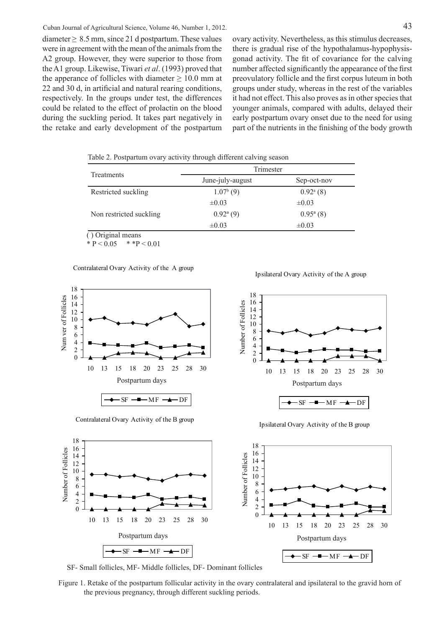diameter  $\geq 8.5$  mm, since 21 d postpartum. These values were in agreement with the mean of the animals from the A2 group. However, they were superior to those from the A1 group. Likewise, Tiwari *et al*. (1993) proved that the apperance of follicles with diameter  $\geq 10.0$  mm at 22 and 30 d, in artificial and natural rearing conditions, respectively. In the groups under test, the differences could be related to the effect of prolactin on the blood during the suckling period. It takes part negatively in the retake and early development of the postpartum ovary activity. Nevertheless, as this stimulus decreases, there is gradual rise of the hypothalamus-hypophysisgonad activity. The fit of covariance for the calving number affected significantly the appearance of the first preovulatory follicle and the first corpus luteum in both groups under study, whereas in the rest of the variables it had not effect. This also proves as in other species that younger animals, compared with adults, delayed their early postpartum ovary onset due to the need for using part of the nutrients in the finishing of the body growth

Table 2. Postpartum ovary activity through different calving season

|                                                                                                                                                                                                                                                                                                                                                                                   | Trimester              |                        |  |  |
|-----------------------------------------------------------------------------------------------------------------------------------------------------------------------------------------------------------------------------------------------------------------------------------------------------------------------------------------------------------------------------------|------------------------|------------------------|--|--|
| Treatments                                                                                                                                                                                                                                                                                                                                                                        | June-july-august       | Sep-oct-nov            |  |  |
| Restricted suckling                                                                                                                                                                                                                                                                                                                                                               | $1.07b$ (9)            | $0.92^{\mathrm{a}}(8)$ |  |  |
|                                                                                                                                                                                                                                                                                                                                                                                   | $\pm 0.03$             | $\pm 0.03$             |  |  |
| Non restricted suckling                                                                                                                                                                                                                                                                                                                                                           | $0.92^{\mathrm{a}}(9)$ | $0.95^{\rm a}$ (8)     |  |  |
|                                                                                                                                                                                                                                                                                                                                                                                   | $\pm 0.03$             | $\pm 0.03$             |  |  |
| $\bigcap$ $\bigcap$ $\bigcup$ $\bigcap$ $\bigcap$ $\bigcap$ $\bigcap$ $\bigcap$ $\bigcap$ $\bigcap$ $\bigcap$ $\bigcap$ $\bigcap$ $\bigcap$ $\bigcap$ $\bigcap$ $\bigcap$ $\bigcap$ $\bigcap$ $\bigcap$ $\bigcap$ $\bigcap$ $\bigcap$ $\bigcap$ $\bigcap$ $\bigcap$ $\bigcap$ $\bigcap$ $\bigcap$ $\bigcap$ $\bigcap$ $\bigcap$ $\bigcap$ $\bigcap$ $\bigcap$ $\bigcap$ $\bigcap$ |                        |                        |  |  |

( ) Original means

\*  $P < 0.05$  \* \* $P < 0.01$ 

Contralateral Ovary Activity of the A group



Contralateral Ovary Activity of the B group

Ipsilateral Ovary Activity of the A group



Ipsilateral Ovary Activity of the B group



SF- Small follicles, MF- Middle follicles, DF- Dominant follicles

Figure 1. Retake of the postpartum follicular activity in the ovary contralateral and ipsilateral to the gravid horn of the previous pregnancy, through different suckling periods.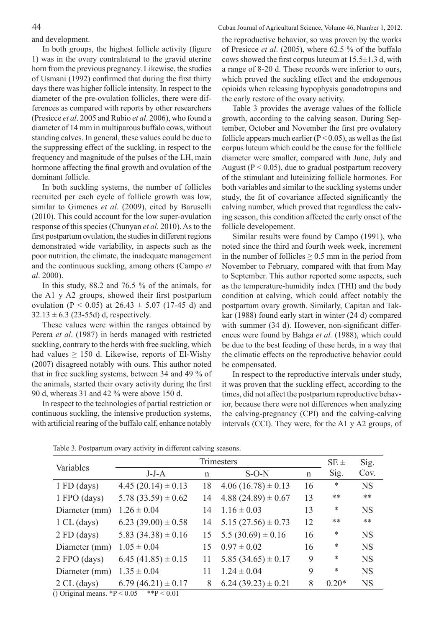In both groups, the highest follicle activity (figure 1) was in the ovary contralateral to the gravid uterine horn from the previous pregnancy. Likewise, the studies of Usmani (1992) confirmed that during the first thirty days there was higher follicle intensity. In respect to the diameter of the pre-ovulation follicles, there were differences as compared with reports by other researchers (Presicce *et al*. 2005 and Rubio *et al*. 2006), who found a diameter of 14 mm in multiparous buffalo cows, without standing calves. In general, these values could be due to the suppressing effect of the suckling, in respect to the frequency and magnitude of the pulses of the LH, main hormone affecting the final growth and ovulation of the dominant follicle.

In both suckling systems, the number of follicles recruited per each cycle of follicle growth was low, similar to Gimenes *et al*. (2009), cited by Baruselli (2010). This could account for the low super-ovulation response of this species (Chunyan *et al*. 2010). As to the first postpartum ovulation, the studies in different regions demonstrated wide variability, in aspects such as the poor nutrition, the climate, the inadequate management and the continuous suckling, among others (Campo *et al*. 2000).

In this study, 88.2 and 76.5 % of the animals, for the A1 y A2 groups, showed their first postpartum ovulation (P < 0.05) at  $26.43 \pm 5.07$  (17-45 d) and  $32.13 \pm 6.3$  (23-55d) d, respectively.

These values were within the ranges obtained by Perera *et al*. (1987) in herds managed with restricted suckling, contrary to the herds with free suckling, which had values  $\geq$  150 d. Likewise, reports of El-Wishy (2007) disagreed notably with ours. This author noted that in free suckling systems, between 34 and 49 % of the animals, started their ovary activity during the first 90 d, whereas 31 and 42 % were above 150 d.

In respect to the technologies of partial restriction or continuous suckling, the intensive production systems, with artificial rearing of the buffalo calf, enhance notably the reproductive behavior, so was proven by the works of Presicce *et al*. (2005), where 62.5 % of the buffalo cows showed the first corpus luteum at  $15.5\pm1.3$  d, with a range of 8-20 d. These records were inferior to ours, which proved the suckling effect and the endogenous opioids when releasing hypophysis gonadotropins and the early restore of the ovary activity.

Table 3 provides the average values of the follicle growth, according to the calving season. During September, October and November the first pre ovulatory follicle appears much earlier  $(P < 0.05)$ , as well as the fist corpus luteum which could be the cause for the folllicle diameter were smaller, compared with June, July and August ( $P < 0.05$ ), due to gradual postpartum recovery of the stimulant and luteinizing follicle hormones. For both variables and similar to the suckling systems under study, the fit of covariance affected significantly the calving number, which proved that regardless the calving season, this condition affected the early onset of the follicle developement.

Similar results were found by Campo (1991), who noted since the third and fourth week week, increment in the number of follicles  $\geq 0.5$  mm in the period from November to February, compared with that from May to September. This author reported some aspects, such as the temperature-humidity index (THI) and the body condition at calving, which could affect notably the postpartum ovary growth. Similarly, Capitan and Takkar (1988) found early start in winter (24 d) compared with summer (34 d). However, non-significant differences were found by Bahga *et al.* (1988), which could be due to the best feeding of these herds, in a way that the climatic effects on the reproductive behavior could be compensated.

In respect to the reproductive intervals under study, it was proven that the suckling effect, according to the times, did not affect the postpartum reproductive behavior, because there were not differences when analyzing the calving-pregnancy (CPI) and the calving-calving intervals (CCI). They were, for the A1 y A2 groups, of

| Variables      | Trimesters              |              |                        |             | $SE \pm$ | Sig.      |
|----------------|-------------------------|--------------|------------------------|-------------|----------|-----------|
|                | $J-J-A$                 | $\mathsf{n}$ | $S-O-N$                | $\mathbf n$ | Sig.     | Cov.      |
| $1 FD$ (days)  | $4.45(20.14) \pm 0.13$  | 18           | $4.06(16.78) \pm 0.13$ | 16          | $\ast$   | <b>NS</b> |
| 1 FPO (days)   | $5.78(33.59) \pm 0.62$  | 14           | $4.88(24.89) \pm 0.67$ | 13          | $***$    | $***$     |
| Diameter (mm)  | $1.26 \pm 0.04$         | 14           | $1.16 \pm 0.03$        | 13          | ∗        | <b>NS</b> |
| 1 CL (days)    | $6.23(39.00) \pm 0.58$  | 14           | $5.15(27.56) \pm 0.73$ | 12          | **       | $***$     |
| $2 FD$ (days)  | 5.83 $(34.38) \pm 0.16$ | 15           | $5.5(30.69) \pm 0.16$  | 16          | ∗        | <b>NS</b> |
| Diameter (mm)  | $1.05 \pm 0.04$         | 15           | $0.97 \pm 0.02$        | 16          | $\ast$   | <b>NS</b> |
| $2 FPO$ (days) | $6.45(41.85) \pm 0.15$  | 11           | $5.85(34.65) \pm 0.17$ | 9           | ∗        | <b>NS</b> |
| Diameter (mm)  | $1.35 \pm 0.04$         | 11           | $1.24 \pm 0.04$        | 9           | $\ast$   | <b>NS</b> |
| 2 CL (days)    | $6.79(46.21) \pm 0.17$  | 8            | $6.24(39.23) \pm 0.21$ | 8           | $0.20*$  | <b>NS</b> |

Table 3. Postpartum ovary activity in different calving seasons.

() Original means.  ${}^{*}P < 0.05$   ${}^{*}P < 0.01$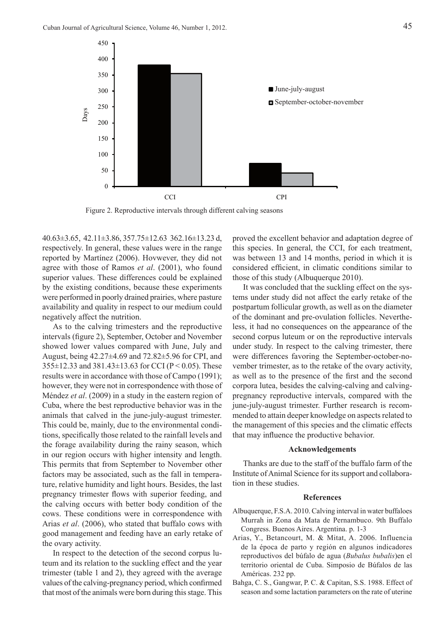

Figure 2. Reproductive intervals through different calving seasons

 $40.63\pm3.65$ ,  $42.11\pm3.86$ ,  $357.75\pm12.63$   $362.16\pm13.23$  d, respectively. In general, these values were in the range reported by Martínez (2006). Hovwever, they did not agree with those of Ramos *et al*. (2001), who found superior values. These differences could be explained by the existing conditions, because these experiments were performed in poorly drained prairies, where pasture availability and quality in respect to our medium could negatively affect the nutrition.

As to the calving trimesters and the reproductive intervals (figure 2), September, October and November showed lower values compared with June, July and August, being 42.27±4.69 and 72.82±5.96 for CPI, and  $355\pm12.33$  and  $381.43\pm13.63$  for CCI (P < 0.05). These results were in accordance with those of Campo (1991); however, they were not in correspondence with those of Méndez *et al*. (2009) in a study in the eastern region of Cuba, where the best reproductive behavior was in the animals that calved in the june-july-august trimester. This could be, mainly, due to the environmental conditions, specifically those related to the rainfall levels and the forage availability during the rainy season, which in our region occurs with higher intensity and length. This permits that from September to November other factors may be associated, such as the fall in temperature, relative humidity and light hours. Besides, the last pregnancy trimester flows with superior feeding, and the calving occurs with better body condition of the cows. These conditions were in correspondence with Arias *et al*. (2006), who stated that buffalo cows with good management and feeding have an early retake of the ovary activity.

In respect to the detection of the second corpus luteum and its relation to the suckling effect and the year trimester (table 1 and 2), they agreed with the average values of the calving-pregnancy period, which confirmed that most of the animals were born during this stage. This

proved the excellent behavior and adaptation degree of this species. In general, the CCI, for each treatment, was between 13 and 14 months, period in which it is considered efficient, in climatic conditions similar to those of this study (Albuquerque 2010).

It was concluded that the suckling effect on the systems under study did not affect the early retake of the postpartum follicular growth, as well as on the diameter of the dominant and pre-ovulation follicles. Nevertheless, it had no consequences on the appearance of the second corpus luteum or on the reproductive intervals under study. In respect to the calving trimester, there were differences favoring the September-october-november trimester, as to the retake of the ovary activity, as well as to the presence of the first and the second corpora lutea, besides the calving-calving and calvingpregnancy reproductive intervals, compared with the june-july-august trimester. Further research is recommended to attain deeper knowledge on aspects related to the management of this species and the climatic effects that may influence the productive behavior.

### **Acknowledgements**

Thanks are due to the staff of the buffalo farm of the Institute of Animal Science for its support and collaboration in these studies.

## **References**

- Albuquerque, F.S.A. 2010. Calving interval in water buffaloes Murrah in Zona da Mata de Pernambuco. 9th Buffalo Congress. Buenos Aires. Argentina. p. 1-3
- Arias, Y., Betancourt, M. & Mitat, A. 2006. Influencia de la época de parto y región en algunos indicadores reproductivos del búfalo de agua (*Bubalus bubalis*)en el territorio oriental de Cuba. Simposio de Búfalos de las Américas. 232 pp.
- Bahga, C. S., Gangwar, P. C. & Capitan, S.S. 1988. Effect of season and some lactation parameters on the rate of uterine